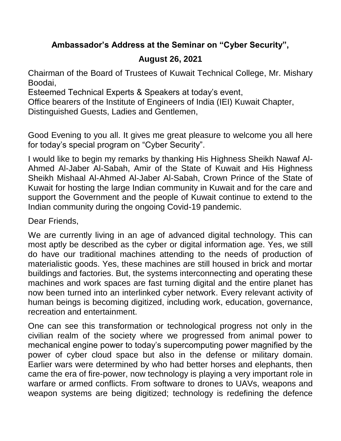## **Ambassador's Address at the Seminar on "Cyber Security",**

## **August 26, 2021**

Chairman of the Board of Trustees of Kuwait Technical College, Mr. Mishary Boodai,

Esteemed Technical Experts & Speakers at today's event,

Office bearers of the Institute of Engineers of India (IEI) Kuwait Chapter,

Distinguished Guests, Ladies and Gentlemen,

Good Evening to you all. It gives me great pleasure to welcome you all here for today's special program on "Cyber Security".

I would like to begin my remarks by thanking His Highness Sheikh Nawaf Al-Ahmed Al-Jaber Al-Sabah, Amir of the State of Kuwait and His Highness Sheikh Mishaal Al-Ahmed Al-Jaber Al-Sabah, Crown Prince of the State of Kuwait for hosting the large Indian community in Kuwait and for the care and support the Government and the people of Kuwait continue to extend to the Indian community during the ongoing Covid-19 pandemic.

Dear Friends,

We are currently living in an age of advanced digital technology. This can most aptly be described as the cyber or digital information age. Yes, we still do have our traditional machines attending to the needs of production of materialistic goods. Yes, these machines are still housed in brick and mortar buildings and factories. But, the systems interconnecting and operating these machines and work spaces are fast turning digital and the entire planet has now been turned into an interlinked cyber network. Every relevant activity of human beings is becoming digitized, including work, education, governance, recreation and entertainment.

One can see this transformation or technological progress not only in the civilian realm of the society where we progressed from animal power to mechanical engine power to today's supercomputing power magnified by the power of cyber cloud space but also in the defense or military domain. Earlier wars were determined by who had better horses and elephants, then came the era of fire-power, now technology is playing a very important role in warfare or armed conflicts. From software to drones to UAVs, weapons and weapon systems are being digitized; technology is redefining the defence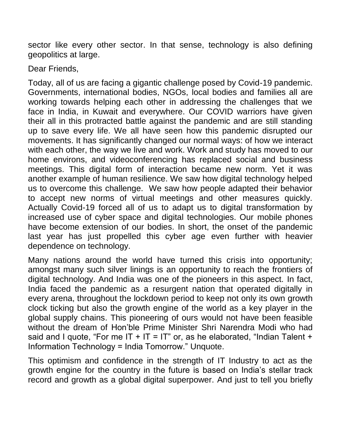sector like every other sector. In that sense, technology is also defining geopolitics at large.

Dear Friends,

Today, all of us are facing a gigantic challenge posed by Covid-19 pandemic. Governments, international bodies, NGOs, local bodies and families all are working towards helping each other in addressing the challenges that we face in India, in Kuwait and everywhere. Our COVID warriors have given their all in this protracted battle against the pandemic and are still standing up to save every life. We all have seen how this pandemic disrupted our movements. It has significantly changed our normal ways: of how we interact with each other, the way we live and work. Work and study has moved to our home environs, and videoconferencing has replaced social and business meetings. This digital form of interaction became new norm. Yet it was another example of human resilience. We saw how digital technology helped us to overcome this challenge. We saw how people adapted their behavior to accept new norms of virtual meetings and other measures quickly. Actually Covid-19 forced all of us to adapt us to digital transformation by increased use of cyber space and digital technologies. Our mobile phones have become extension of our bodies. In short, the onset of the pandemic last year has just propelled this cyber age even further with heavier dependence on technology.

Many nations around the world have turned this crisis into opportunity; amongst many such silver linings is an opportunity to reach the frontiers of digital technology. And India was one of the pioneers in this aspect. In fact, India faced the pandemic as a resurgent nation that operated digitally in every arena, throughout the lockdown period to keep not only its own growth clock ticking but also the growth engine of the world as a key player in the global supply chains. This pioneering of ours would not have been feasible without the dream of Hon'ble Prime Minister Shri Narendra Modi who had said and I quote, "For me IT + IT = IT" or, as he elaborated, "Indian Talent + Information Technology = India Tomorrow." Unquote.

This optimism and confidence in the strength of IT Industry to act as the growth engine for the country in the future is based on India's stellar track record and growth as a global digital superpower. And just to tell you briefly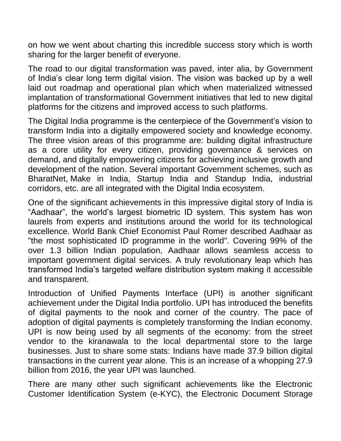on how we went about charting this incredible success story which is worth sharing for the larger benefit of everyone.

The road to our digital transformation was paved, inter alia, by Government of India's clear long term digital vision. The vision was backed up by a well laid out roadmap and operational plan which when materialized witnessed implantation of transformational Government initiatives that led to new digital platforms for the citizens and improved access to such platforms.

The Digital India programme is the centerpiece of the Government's vision to transform India into a digitally empowered society and knowledge economy. The three vision areas of this programme are: building digital infrastructure as a core utility for every citizen, providing governance & services on demand, and digitally empowering citizens for achieving inclusive growth and development of the nation. Several important Government schemes, such as BharatNet, Make in India, Startup India and Standup India, industrial corridors, etc. are all integrated with the Digital India ecosystem.

One of the significant achievements in this impressive digital story of India is "Aadhaar", the world's largest biometric ID system. This system has won laurels from experts and institutions around the world for its technological excellence. World Bank Chief Economist Paul Romer described Aadhaar as "the most sophisticated ID programme in the world". Covering 99% of the over 1.3 billion Indian population, Aadhaar allows seamless access to important government digital services. A truly revolutionary leap which has transformed India's targeted welfare distribution system making it accessible and transparent.

Introduction of Unified Payments Interface (UPI) is another significant achievement under the Digital India portfolio. UPI has introduced the benefits of digital payments to the nook and corner of the country. The pace of adoption of digital payments is completely transforming the Indian economy. UPI is now being used by all segments of the economy: from the street vendor to the kiranawala to the local departmental store to the large businesses. Just to share some stats: Indians have made 37.9 billion digital transactions in the current year alone. This is an increase of a whopping 27.9 billion from 2016, the year UPI was launched.

There are many other such significant achievements like the Electronic Customer Identification System (e-KYC), the Electronic Document Storage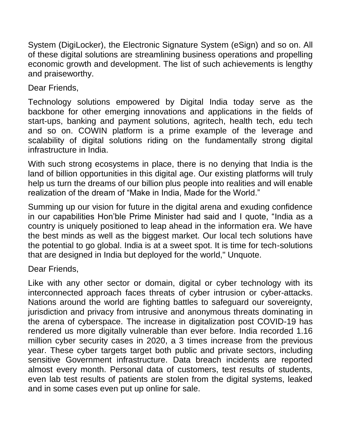System (DigiLocker), the Electronic Signature System (eSign) and so on. All of these digital solutions are streamlining business operations and propelling economic growth and development. The list of such achievements is lengthy and praiseworthy.

Dear Friends,

Technology solutions empowered by Digital India today serve as the backbone for other emerging innovations and applications in the fields of start-ups, banking and payment solutions, agritech, health tech, edu tech and so on. COWIN platform is a prime example of the leverage and scalability of digital solutions riding on the fundamentally strong digital infrastructure in India.

With such strong ecosystems in place, there is no denying that India is the land of billion opportunities in this digital age. Our existing platforms will truly help us turn the dreams of our billion plus people into realities and will enable realization of the dream of "Make in India, Made for the World."

Summing up our vision for future in the digital arena and exuding confidence in our capabilities Hon'ble Prime Minister had said and I quote, "India as a country is uniquely positioned to leap ahead in the information era. We have the best minds as well as the biggest market. Our local tech solutions have the potential to go global. India is at a sweet spot. It is time for tech-solutions that are designed in India but deployed for the world," Unquote.

Dear Friends,

Like with any other sector or domain, digital or cyber technology with its interconnected approach faces threats of cyber intrusion or cyber-attacks. Nations around the world are fighting battles to safeguard our sovereignty, jurisdiction and privacy from intrusive and anonymous threats dominating in the arena of cyberspace. The increase in digitalization post COVID-19 has rendered us more digitally vulnerable than ever before. India recorded 1.16 million cyber security cases in 2020, a 3 times increase from the previous year. These cyber targets target both public and private sectors, including sensitive Government infrastructure. Data breach incidents are reported almost every month. Personal data of customers, test results of students, even lab test results of patients are stolen from the digital systems, leaked and in some cases even put up online for sale.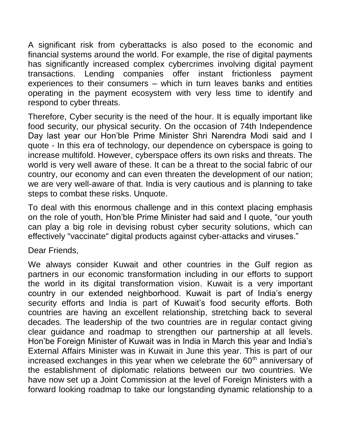A significant risk from cyberattacks is also posed to the economic and financial systems around the world. For example, the rise of digital payments has significantly increased complex cybercrimes involving digital payment transactions. Lending companies offer instant frictionless payment experiences to their consumers – which in turn leaves banks and entities operating in the payment ecosystem with very less time to identify and respond to cyber threats.

Therefore, Cyber security is the need of the hour. It is equally important like food security, our physical security. On the occasion of 74th Independence Day last year our Hon'ble Prime Minister Shri Narendra Modi said and I quote - In this era of technology, our dependence on cyberspace is going to increase multifold. However, cyberspace offers its own risks and threats. The world is very well aware of these. It can be a threat to the social fabric of our country, our economy and can even threaten the development of our nation; we are very well-aware of that. India is very cautious and is planning to take steps to combat these risks. Unquote.

To deal with this enormous challenge and in this context placing emphasis on the role of youth, Hon'ble Prime Minister had said and I quote, "our youth can play a big role in devising robust cyber security solutions, which can effectively "vaccinate" digital products against cyber-attacks and viruses."

## Dear Friends,

We always consider Kuwait and other countries in the Gulf region as partners in our economic transformation including in our efforts to support the world in its digital transformation vision. Kuwait is a very important country in our extended neighborhood. Kuwait is part of India's energy security efforts and India is part of Kuwait's food security efforts. Both countries are having an excellent relationship, stretching back to several decades. The leadership of the two countries are in regular contact giving clear guidance and roadmap to strengthen our partnership at all levels. Hon'be Foreign Minister of Kuwait was in India in March this year and India's External Affairs Minister was in Kuwait in June this year. This is part of our increased exchanges in this year when we celebrate the 60<sup>th</sup> anniversary of the establishment of diplomatic relations between our two countries. We have now set up a Joint Commission at the level of Foreign Ministers with a forward looking roadmap to take our longstanding dynamic relationship to a